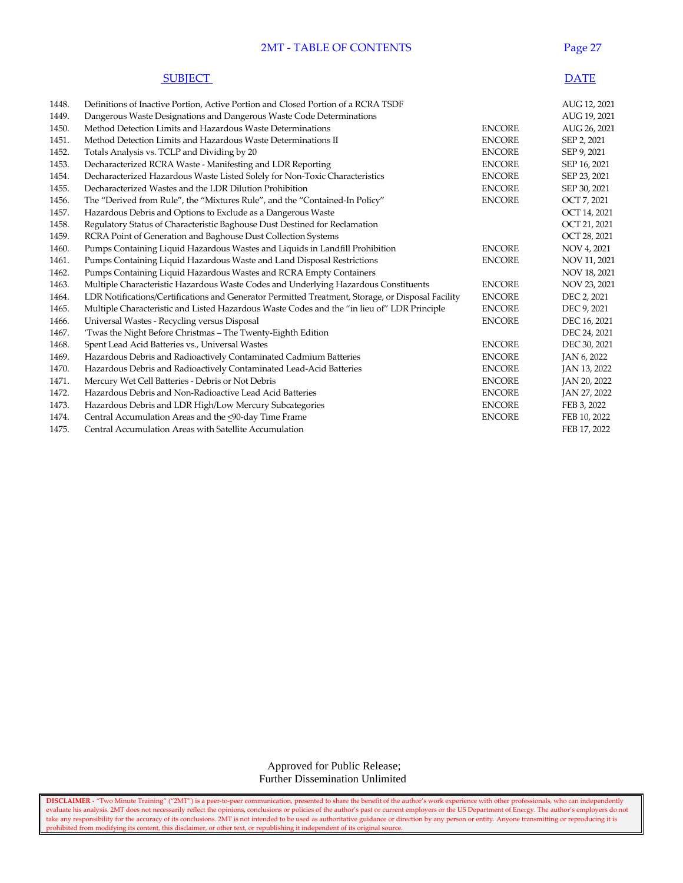## 2MT - TABLE OF CONTENTS Page 27

| <b>SUBIECT</b> | <b>DATE</b> |
|----------------|-------------|
|----------------|-------------|

| 1448. | Definitions of Inactive Portion, Active Portion and Closed Portion of a RCRA TSDF                 |               | AUG 12, 2021 |
|-------|---------------------------------------------------------------------------------------------------|---------------|--------------|
| 1449. | Dangerous Waste Designations and Dangerous Waste Code Determinations                              |               | AUG 19, 2021 |
| 1450. | Method Detection Limits and Hazardous Waste Determinations                                        | <b>ENCORE</b> | AUG 26, 2021 |
| 1451. | Method Detection Limits and Hazardous Waste Determinations II                                     | <b>ENCORE</b> | SEP 2, 2021  |
| 1452. | Totals Analysis vs. TCLP and Dividing by 20                                                       | <b>ENCORE</b> | SEP 9, 2021  |
| 1453. | Decharacterized RCRA Waste - Manifesting and LDR Reporting                                        | <b>ENCORE</b> | SEP 16, 2021 |
| 1454. | Decharacterized Hazardous Waste Listed Solely for Non-Toxic Characteristics                       | <b>ENCORE</b> | SEP 23, 2021 |
| 1455. | Decharacterized Wastes and the LDR Dilution Prohibition                                           | <b>ENCORE</b> | SEP 30, 2021 |
| 1456. | The "Derived from Rule", the "Mixtures Rule", and the "Contained-In Policy"                       | <b>ENCORE</b> | OCT 7, 2021  |
| 1457. | Hazardous Debris and Options to Exclude as a Dangerous Waste                                      |               | OCT 14, 2021 |
| 1458. | Regulatory Status of Characteristic Baghouse Dust Destined for Reclamation                        |               | OCT 21, 2021 |
| 1459. | RCRA Point of Generation and Baghouse Dust Collection Systems                                     |               | OCT 28, 2021 |
| 1460. | Pumps Containing Liquid Hazardous Wastes and Liquids in Landfill Prohibition                      | <b>ENCORE</b> | NOV 4, 2021  |
| 1461. | Pumps Containing Liquid Hazardous Waste and Land Disposal Restrictions                            | <b>ENCORE</b> | NOV 11, 2021 |
| 1462. | Pumps Containing Liquid Hazardous Wastes and RCRA Empty Containers                                |               | NOV 18, 2021 |
| 1463. | Multiple Characteristic Hazardous Waste Codes and Underlying Hazardous Constituents               | <b>ENCORE</b> | NOV 23, 2021 |
| 1464. | LDR Notifications/Certifications and Generator Permitted Treatment, Storage, or Disposal Facility | <b>ENCORE</b> | DEC 2, 2021  |
| 1465. | Multiple Characteristic and Listed Hazardous Waste Codes and the "in lieu of" LDR Principle       | <b>ENCORE</b> | DEC 9, 2021  |
| 1466. | Universal Wastes - Recycling versus Disposal                                                      | <b>ENCORE</b> | DEC 16, 2021 |
| 1467. | 'Twas the Night Before Christmas - The Twenty-Eighth Edition                                      |               | DEC 24, 2021 |
| 1468. | Spent Lead Acid Batteries vs., Universal Wastes                                                   | <b>ENCORE</b> | DEC 30, 2021 |
| 1469. | Hazardous Debris and Radioactively Contaminated Cadmium Batteries                                 | <b>ENCORE</b> | JAN 6, 2022  |
| 1470. | Hazardous Debris and Radioactively Contaminated Lead-Acid Batteries                               | <b>ENCORE</b> | JAN 13, 2022 |
| 1471. | Mercury Wet Cell Batteries - Debris or Not Debris                                                 | <b>ENCORE</b> | JAN 20, 2022 |
| 1472. | Hazardous Debris and Non-Radioactive Lead Acid Batteries                                          | <b>ENCORE</b> | JAN 27, 2022 |
| 1473. | Hazardous Debris and LDR High/Low Mercury Subcategories                                           | <b>ENCORE</b> | FEB 3, 2022  |
| 1474. | Central Accumulation Areas and the <90-day Time Frame                                             | <b>ENCORE</b> | FEB 10, 2022 |
| 1475. | Central Accumulation Areas with Satellite Accumulation                                            |               | FEB 17, 2022 |
|       |                                                                                                   |               |              |

Approved for Public Release; Further Dissemination Unlimited

**DISCLAIMER** - "Two Minute Training" ("2MT") is a peer-to-peer communication, presented to share the benefit of the author's work experience with other professionals, who can independently evaluate his analysis. 2MT does not necessarily reflect the opinions, conclusions or policies of the author's past or current employers or the US Department of Energy. The author's employers do not take any responsibility for the accuracy of its conclusions. 2MT is not intended to be used as authoritative guidance or direction by any person or entity. Anyone transmitting or reproducing it is prohibited from modifying its content, this disclaimer, or other text, or republishing it independent of its original source.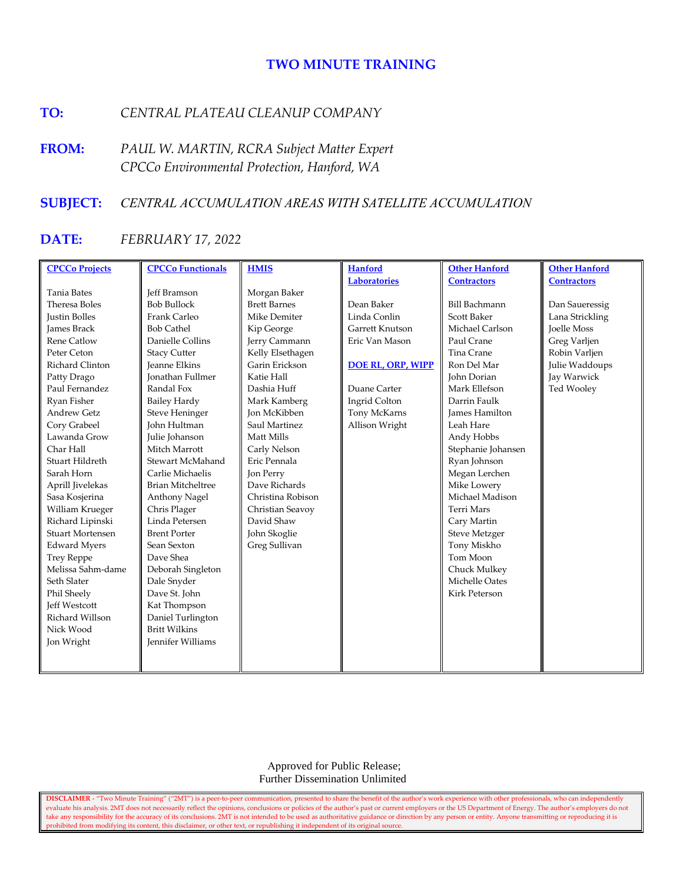# **TWO MINUTE TRAINING**

# **TO:** *CENTRAL PLATEAU CLEANUP COMPANY*

**FROM:** *PAUL W. MARTIN, RCRA Subject Matter Expert CPCCo Environmental Protection, Hanford, WA*

# **SUBJECT:** *CENTRAL ACCUMULATION AREAS WITH SATELLITE ACCUMULATION*

# **DATE:** *FEBRUARY 17, 2022*

| <b>CPCCo Projects</b>   | <b>CPCCo Functionals</b> | <b>HMIS</b>         | <b>Hanford</b>           | <b>Other Hanford</b>  | <b>Other Hanford</b> |
|-------------------------|--------------------------|---------------------|--------------------------|-----------------------|----------------------|
|                         |                          |                     | <b>Laboratories</b>      | <b>Contractors</b>    | <b>Contractors</b>   |
| <b>Tania Bates</b>      | <b>Jeff Bramson</b>      | Morgan Baker        |                          |                       |                      |
| Theresa Boles           | <b>Bob Bullock</b>       | <b>Brett Barnes</b> | Dean Baker               | <b>Bill Bachmann</b>  | Dan Saueressig       |
| <b>Justin Bolles</b>    | Frank Carleo             | Mike Demiter        | Linda Conlin             | Scott Baker           | Lana Strickling      |
| <b>James Brack</b>      | <b>Bob Cathel</b>        | Kip George          | Garrett Knutson          | Michael Carlson       | <b>Joelle Moss</b>   |
| <b>Rene Catlow</b>      | Danielle Collins         | Jerry Cammann       | Eric Van Mason           | Paul Crane            | Greg Varljen         |
| Peter Ceton             | <b>Stacy Cutter</b>      | Kelly Elsethagen    |                          | Tina Crane            | Robin Varljen        |
| Richard Clinton         | <b>Jeanne Elkins</b>     | Garin Erickson      | <b>DOE RL, ORP, WIPP</b> | Ron Del Mar           | Julie Waddoups       |
| Patty Drago             | <b>Ionathan Fullmer</b>  | Katie Hall          |                          | John Dorian           | Jay Warwick          |
| Paul Fernandez          | Randal Fox               | Dashia Huff         | Duane Carter             | Mark Ellefson         | Ted Wooley           |
| Ryan Fisher             | <b>Bailey Hardy</b>      | Mark Kamberg        | Ingrid Colton            | Darrin Faulk          |                      |
| <b>Andrew Getz</b>      | <b>Steve Heninger</b>    | <b>Ion McKibben</b> | Tony McKarns             | <b>James Hamilton</b> |                      |
| Cory Grabeel            | <b>John Hultman</b>      | Saul Martinez       | Allison Wright           | Leah Hare             |                      |
| Lawanda Grow            | Julie Johanson           | Matt Mills          |                          | Andy Hobbs            |                      |
| Char Hall               | Mitch Marrott            | Carly Nelson        |                          | Stephanie Johansen    |                      |
| Stuart Hildreth         | Stewart McMahand         | Eric Pennala        |                          | Ryan Johnson          |                      |
| Sarah Horn              | Carlie Michaelis         | Jon Perry           |                          | Megan Lerchen         |                      |
| Aprill Jivelekas        | <b>Brian Mitcheltree</b> | Dave Richards       |                          | Mike Lowery           |                      |
| Sasa Kosjerina          | Anthony Nagel            | Christina Robison   |                          | Michael Madison       |                      |
| William Krueger         | Chris Plager             | Christian Seavoy    |                          | <b>Terri Mars</b>     |                      |
| Richard Lipinski        | Linda Petersen           | David Shaw          |                          | Cary Martin           |                      |
| <b>Stuart Mortensen</b> | <b>Brent Porter</b>      | John Skoglie        |                          | <b>Steve Metzger</b>  |                      |
| <b>Edward Myers</b>     | Sean Sexton              | Greg Sullivan       |                          | Tony Miskho           |                      |
| <b>Trey Reppe</b>       | Dave Shea                |                     |                          | Tom Moon              |                      |
| Melissa Sahm-dame       | Deborah Singleton        |                     |                          | Chuck Mulkey          |                      |
| Seth Slater             | Dale Snyder              |                     |                          | Michelle Oates        |                      |
| Phil Sheely             | Dave St. John            |                     |                          | <b>Kirk Peterson</b>  |                      |
| <b>Jeff Westcott</b>    | Kat Thompson             |                     |                          |                       |                      |
| Richard Willson         | Daniel Turlington        |                     |                          |                       |                      |
| Nick Wood               | <b>Britt Wilkins</b>     |                     |                          |                       |                      |
| Jon Wright              | <b>Jennifer Williams</b> |                     |                          |                       |                      |
|                         |                          |                     |                          |                       |                      |
|                         |                          |                     |                          |                       |                      |

Approved for Public Release; Further Dissemination Unlimited

**DISCLAIMER** - "Two Minute Training" ("2MT") is a peer-to-peer communication, presented to share the benefit of the author's work experience with other professionals, who can independently evaluate his analysis. 2MT does not necessarily reflect the opinions, conclusions or policies of the author's past or current employers or the US Department of Energy. The author's employers do not take any responsibility for the accuracy of its conclusions. 2MT is not intended to be used as authoritative guidance or direction by any person or entity. Anyone transmitting or reproducing it is prohibited from modifying its content, this disclaimer, or other text, or republishing it independent of its original source.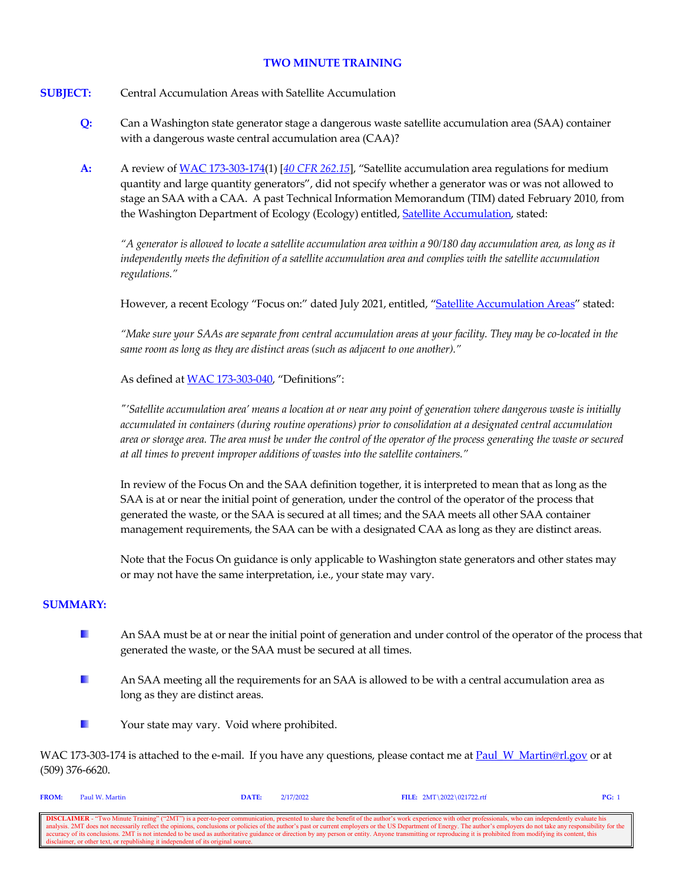## **TWO MINUTE TRAINING**

# **SUBJECT:** Central Accumulation Areas with Satellite Accumulation

- **Q:** Can a Washington state generator stage a dangerous waste satellite accumulation area (SAA) container with a dangerous waste central accumulation area (CAA)?
- **A:** A review o[f WAC 173-303-174\(](https://apps.leg.wa.gov/wac/default.aspx?cite=173-303-174)1) [*[40 CFR 262.15](https://www.govinfo.gov/content/pkg/CFR-2021-title40-vol28/xml/CFR-2021-title40-vol28-sec262-15.xml)*], "Satellite accumulation area regulations for medium quantity and large quantity generators", did not specify whether a generator was or was not allowed to stage an SAA with a CAA. A past Technical Information Memorandum (TIM) dated February 2010, from the Washington Department of Ecology (Ecology) entitled, [Satellite Accumulation,](https://fortress.wa.gov/ecy/publications/publications/94120.pdf) stated:

*"A generator is allowed to locate a satellite accumulation area within a 90/180 day accumulation area, as long as it independently meets the definition of a satellite accumulation area and complies with the satellite accumulation regulations."*

However, a recent Ecology "Focus on:" dated July 2021, entitled, ["Satellite Accumulation Areas"](https://apps.ecology.wa.gov/publications/documents/1904029.pdf) stated:

*"Make sure your SAAs are separate from central accumulation areas at your facility. They may be co-located in the same room as long as they are distinct areas (such as adjacent to one another)."*

As defined a[t WAC 173-303-040,](https://apps.leg.wa.gov/wac/default.aspx?cite=173-303-040) "Definitions":

*"'Satellite accumulation area' means a location at or near any point of generation where dangerous waste is initially accumulated in containers (during routine operations) prior to consolidation at a designated central accumulation area or storage area. The area must be under the control of the operator of the process generating the waste or secured at all times to prevent improper additions of wastes into the satellite containers."*

In review of the Focus On and the SAA definition together, it is interpreted to mean that as long as the SAA is at or near the initial point of generation, under the control of the operator of the process that generated the waste, or the SAA is secured at all times; and the SAA meets all other SAA container management requirements, the SAA can be with a designated CAA as long as they are distinct areas.

Note that the Focus On guidance is only applicable to Washington state generators and other states may or may not have the same interpretation, i.e., your state may vary.

# **SUMMARY:**

- H. An SAA must be at or near the initial point of generation and under control of the operator of the process that generated the waste, or the SAA must be secured at all times.
- $\mathcal{L}_{\mathcal{A}}$ An SAA meeting all the requirements for an SAA is allowed to be with a central accumulation area as long as they are distinct areas.



WAC 173-303-174 is attached to the e-mail. If you have any questions, please contact me a[t Paul\\_W\\_Martin@rl.gov](mailto:Paul_W_Martin@rl.gov?subject=Two%20Minute%20Training%20Question) or at (509) 376-6620.

| <b>FROM:</b>                                                                                                                                                                                                             | Paul W. Martin                                                                    | DATE: | 2/17/2022 | FILE: $2MT \ 2022 \ 021722.rtf$ | PG: |  |
|--------------------------------------------------------------------------------------------------------------------------------------------------------------------------------------------------------------------------|-----------------------------------------------------------------------------------|-------|-----------|---------------------------------|-----|--|
|                                                                                                                                                                                                                          |                                                                                   |       |           |                                 |     |  |
| <b>DISCLAIMER</b> - "Two Minute Training" ("2MT") is a peer-to-peer communication, presented to share the benefit of the author's work experience with other professionals, who can independently evaluate his           |                                                                                   |       |           |                                 |     |  |
| analysis. 2MT does not necessarily reflect the opinions, conclusions or policies of the author's past or current employers or the US Department of Energy. The author's employers do not take any responsibility for the |                                                                                   |       |           |                                 |     |  |
| accuracy of its conclusions. 2MT is not intended to be used as authoritative guidance or direction by any person or entity. Anyone transmitting or reproducing it is prohibited from modifying its content, this         |                                                                                   |       |           |                                 |     |  |
|                                                                                                                                                                                                                          | disclaimer, or other text, or republishing it independent of its original source. |       |           |                                 |     |  |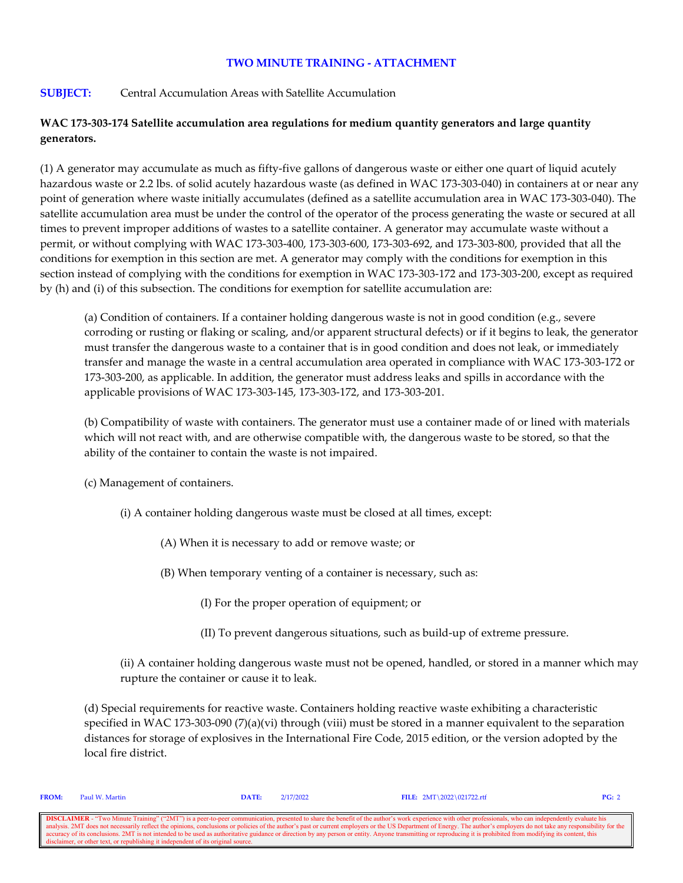## **TWO MINUTE TRAINING - ATTACHMENT**

## **SUBJECT:** Central Accumulation Areas with Satellite Accumulation

## **WAC 173-303-174 Satellite accumulation area regulations for medium quantity generators and large quantity generators.**

(1) A generator may accumulate as much as fifty-five gallons of dangerous waste or either one quart of liquid acutely hazardous waste or 2.2 lbs. of solid acutely hazardous waste (as defined in WAC 173-303-040) in containers at or near any point of generation where waste initially accumulates (defined as a satellite accumulation area in WAC 173-303-040). The satellite accumulation area must be under the control of the operator of the process generating the waste or secured at all times to prevent improper additions of wastes to a satellite container. A generator may accumulate waste without a permit, or without complying with WAC 173-303-400, 173-303-600, 173-303-692, and 173-303-800, provided that all the conditions for exemption in this section are met. A generator may comply with the conditions for exemption in this section instead of complying with the conditions for exemption in WAC 173-303-172 and 173-303-200, except as required by (h) and (i) of this subsection. The conditions for exemption for satellite accumulation are:

(a) Condition of containers. If a container holding dangerous waste is not in good condition (e.g., severe corroding or rusting or flaking or scaling, and/or apparent structural defects) or if it begins to leak, the generator must transfer the dangerous waste to a container that is in good condition and does not leak, or immediately transfer and manage the waste in a central accumulation area operated in compliance with WAC 173-303-172 or 173-303-200, as applicable. In addition, the generator must address leaks and spills in accordance with the applicable provisions of WAC 173-303-145, 173-303-172, and 173-303-201.

(b) Compatibility of waste with containers. The generator must use a container made of or lined with materials which will not react with, and are otherwise compatible with, the dangerous waste to be stored, so that the ability of the container to contain the waste is not impaired.

(c) Management of containers.

- (i) A container holding dangerous waste must be closed at all times, except:
	- (A) When it is necessary to add or remove waste; or
	- (B) When temporary venting of a container is necessary, such as:
		- (I) For the proper operation of equipment; or
		- (II) To prevent dangerous situations, such as build-up of extreme pressure.

(ii) A container holding dangerous waste must not be opened, handled, or stored in a manner which may rupture the container or cause it to leak.

(d) Special requirements for reactive waste. Containers holding reactive waste exhibiting a characteristic specified in WAC 173-303-090 (7)(a)(vi) through (viii) must be stored in a manner equivalent to the separation distances for storage of explosives in the International Fire Code, 2015 edition, or the version adopted by the local fire district.

| <b>FROM:</b> | Paul W. Martin                                                                    | DATE: | 2/17/2022 | <b>FILE:</b> $2MT \ 2022 \ 021722. rff$                                                                                                                                                                                  | PG: 2 |
|--------------|-----------------------------------------------------------------------------------|-------|-----------|--------------------------------------------------------------------------------------------------------------------------------------------------------------------------------------------------------------------------|-------|
|              |                                                                                   |       |           |                                                                                                                                                                                                                          |       |
|              |                                                                                   |       |           | <b>DISCLAIMER</b> - "Two Minute Training" ("2MT") is a peer-to-peer communication, presented to share the benefit of the author's work experience with other professionals, who can independently evaluate his           |       |
|              |                                                                                   |       |           | analysis. 2MT does not necessarily reflect the opinions, conclusions or policies of the author's past or current employers or the US Department of Energy. The author's employers do not take any responsibility for the |       |
|              |                                                                                   |       |           | accuracy of its conclusions. 2MT is not intended to be used as authoritative guidance or direction by any person or entity. Anyone transmitting or reproducing it is prohibited from modifying its content, this         |       |
|              | disclaimer, or other text, or republishing it independent of its original source. |       |           |                                                                                                                                                                                                                          |       |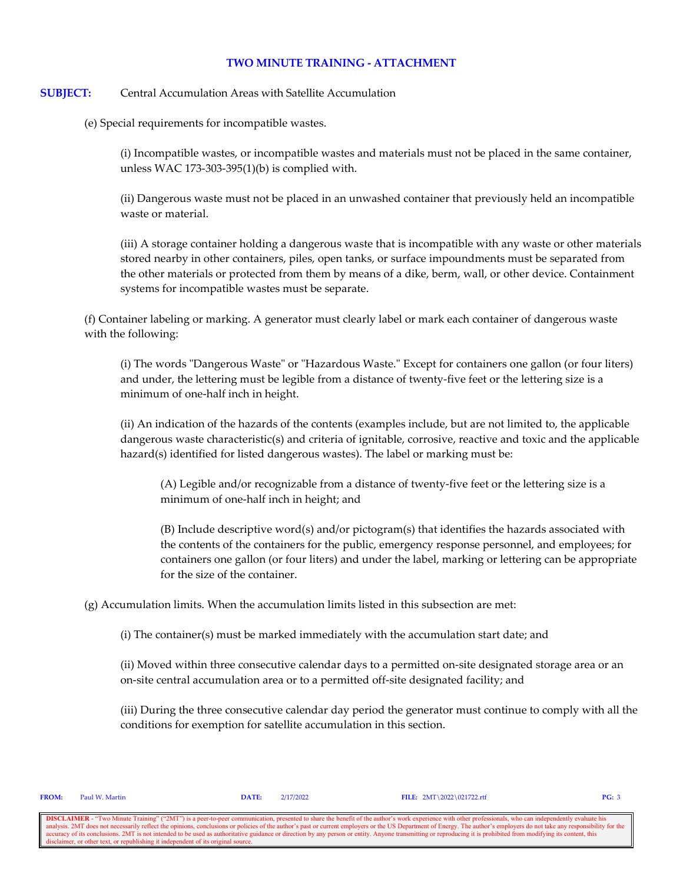## **TWO MINUTE TRAINING - ATTACHMENT**

## **SUBJECT:** Central Accumulation Areas with Satellite Accumulation

(e) Special requirements for incompatible wastes.

(i) Incompatible wastes, or incompatible wastes and materials must not be placed in the same container, unless WAC 173-303-395(1)(b) is complied with.

(ii) Dangerous waste must not be placed in an unwashed container that previously held an incompatible waste or material.

(iii) A storage container holding a dangerous waste that is incompatible with any waste or other materials stored nearby in other containers, piles, open tanks, or surface impoundments must be separated from the other materials or protected from them by means of a dike, berm, wall, or other device. Containment systems for incompatible wastes must be separate.

(f) Container labeling or marking. A generator must clearly label or mark each container of dangerous waste with the following:

(i) The words "Dangerous Waste" or "Hazardous Waste." Except for containers one gallon (or four liters) and under, the lettering must be legible from a distance of twenty-five feet or the lettering size is a minimum of one-half inch in height.

(ii) An indication of the hazards of the contents (examples include, but are not limited to, the applicable dangerous waste characteristic(s) and criteria of ignitable, corrosive, reactive and toxic and the applicable hazard(s) identified for listed dangerous wastes). The label or marking must be:

(A) Legible and/or recognizable from a distance of twenty-five feet or the lettering size is a minimum of one-half inch in height; and

(B) Include descriptive word(s) and/or pictogram(s) that identifies the hazards associated with the contents of the containers for the public, emergency response personnel, and employees; for containers one gallon (or four liters) and under the label, marking or lettering can be appropriate for the size of the container.

(g) Accumulation limits. When the accumulation limits listed in this subsection are met:

(i) The container(s) must be marked immediately with the accumulation start date; and

(ii) Moved within three consecutive calendar days to a permitted on-site designated storage area or an on-site central accumulation area or to a permitted off-site designated facility; and

(iii) During the three consecutive calendar day period the generator must continue to comply with all the conditions for exemption for satellite accumulation in this section.

**FROM:** Paul W. Martin **DATE:** 2/17/2022 **FILE:** 2MT\2022\021722.rtf **PG:** 3

**DISCLAIMER** - "Two Minute Training" ("2MT") is a peer-to-peer communication, presented to share the benefit of the author's work experience with other professionals, who can independently evaluate his analysis. 2MT does n onclusions or policies of the author's past or current employers or the US Department of Energy. The author's employers do not take any resp accuracy of its conclusions. 2MT is not intended to be used as authoritative guidance or direction by any person or entity. Anyone transmitting or reproducing it is prohibited from modifying its content, this disclaimer, o